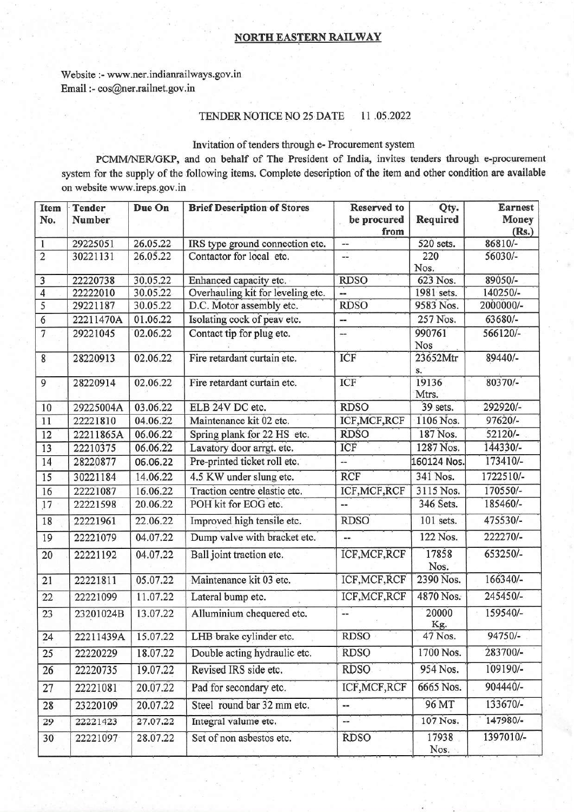## **NORTH EASTERN RAILWAY**

Website :- www.ner.indianrailways.gov.in Email :- cos@ner.railnet.gov.in

## TENDER NOTICE NO 25 DATE 11.05.2022

## Invitation of tenders through e- Procurement system

PCMM/NER/GKP, and on behalf of The President of India, invites tenders through e-procurement system for the supply of the following items. Complete description of the item and other condition are available on website www.ireps.gov.in

| <b>Item</b><br>No. | <b>Tender</b><br>Number | Due On   | <b>Brief Description of Stores</b> | <b>Reserved</b> to<br>be procured<br>from | Qty.<br>Required | <b>Earnest</b><br>Money<br>(Rs.) |
|--------------------|-------------------------|----------|------------------------------------|-------------------------------------------|------------------|----------------------------------|
| 1                  | 29225051                | 26.05.22 | IRS type ground connection etc.    | --                                        | 520 sets.        | 86810/-                          |
| $\overline{2}$     | 30221131                | 26.05.22 | Contactor for local etc.           | --                                        | 220<br>Nos.      | 56030/-                          |
| 3                  | 22220738                | 30.05.22 | Enhanced capacity etc.             | <b>RDSO</b>                               | 623 Nos.         | 89050/-                          |
| $\overline{4}$     | 22222010                | 30.05.22 | Overhauling kit for leveling etc.  | --                                        | 1981 sets.       | 140250/-                         |
| 5                  | 29221187                | 30.05.22 | D.C. Motor assembly etc.           | <b>RDSO</b>                               | 9583 Nos.        | 2000000/-                        |
| $\overline{6}$     | 22211470A               | 01.06.22 | Isolating cock of peav etc.        | --                                        | 257 Nos.         | 63680/-                          |
| $\overline{7}$     | 29221045                | 02.06.22 | Contact tip for plug etc.          | --                                        | 990761<br>Nos    | 566120/-                         |
| 8                  | 28220913                | 02.06.22 | Fire retardant curtain etc.        | ICF                                       | 23652Mtr<br>s.   | 89440/-                          |
| 9                  | 28220914                | 02.06.22 | Fire retardant curtain etc.        | ICF                                       | 19136<br>Mtrs.   | 80370/-                          |
| 10                 | 29225004A               | 03.06.22 | ELB 24V DC etc.                    | <b>RDSO</b>                               | 39 sets.         | 292920/-                         |
| 11                 | 22221810                | 04.06.22 | Maintenance kit 02 etc.            | ICF, MCF, RCF                             | 1106 Nos.        | 97620/-                          |
| 12                 | 22211865A               | 06.06.22 | Spring plank for 22 HS etc.        | <b>RDSO</b>                               | 187 Nos.         | $52120/-$                        |
| 13                 | 22210375                | 06.06.22 | Lavatory door arrgt. etc.          | ICF                                       | 1287 Nos.        | 144330/-                         |
| 14                 | 28220877                | 06.06.22 | Pre-printed ticket roll etc.       | ÷.                                        | 160124 Nos.      | 173410/-                         |
| 15                 | 30221184                | 14.06.22 | 4.5 KW under slung etc.            | <b>RCF</b>                                | 341 Nos.         | 1722510/-                        |
| 16                 | 22221087                | 16.06.22 | Traction centre elastic etc.       | ICF, MCF, RCF                             | 3115 Nos.        | 170550/-                         |
| 17                 | 22221598                | 20.06.22 | POH kit for EOG etc.               | $\overline{a}$                            | 346 Sets.        | 185460/-                         |
| 18                 | 22221961                | 22.06.22 | Improved high tensile etc.         | <b>RDSO</b>                               | 101 sets.        | 475530/-                         |
| 19                 | 22221079                | 04.07.22 | Dump valve with bracket etc.       | --                                        | 122 Nos.         | 222270/-                         |
| 20                 | 22221192                | 04.07.22 | Ball joint traction etc.           | ICF, MCF, RCF                             | 17858<br>Nos.    | 653250/-                         |
| 21                 | 22221811                | 05.07.22 | Maintenance kit 03 etc.            | ICF, MCF, RCF                             | 2390 Nos.        | 166340/-                         |
| 22                 | 22221099                | 11.07.22 | Lateral bump etc.                  | ICF, MCF, RCF                             | 4870 Nos.        | 245450/-                         |
| 23                 | 23201024B               | 13.07.22 | Alluminium chequered etc.          | --                                        | 20000<br>Kg.     | 159540/-                         |
| 24                 | 22211439A               | 15.07.22 | LHB brake cylinder etc.            | RDSO                                      | 47 Nos.          | 94750/-                          |
| 25                 | 22220229                | 18.07.22 | Double acting hydraulic etc.       | <b>RDSO</b>                               | 1700 Nos.        | 283700/-                         |
| 26                 | 22220735                | 19.07.22 | Revised IRS side etc.              | <b>RDSO</b>                               | 954 Nos.         | 109190/-                         |
| 27                 | 22221081                | 20.07.22 | Pad for secondary etc.             | ICF, MCF, RCF                             | 6665 Nos.        | 904440/-                         |
| 28                 | 23220109                | 20.07.22 | Steel round bar 32 mm etc.         | --                                        | 96 MT            | 133670/-                         |
| 29                 | 22221423                | 27.07.22 | Integral valume etc.               |                                           | 107 Nos.         | 147980/-                         |
| 30                 | 22221097                | 28.07.22 | Set of non asbestos etc.           | <b>RDSO</b>                               | 17938<br>Nos.    | 1397010/-                        |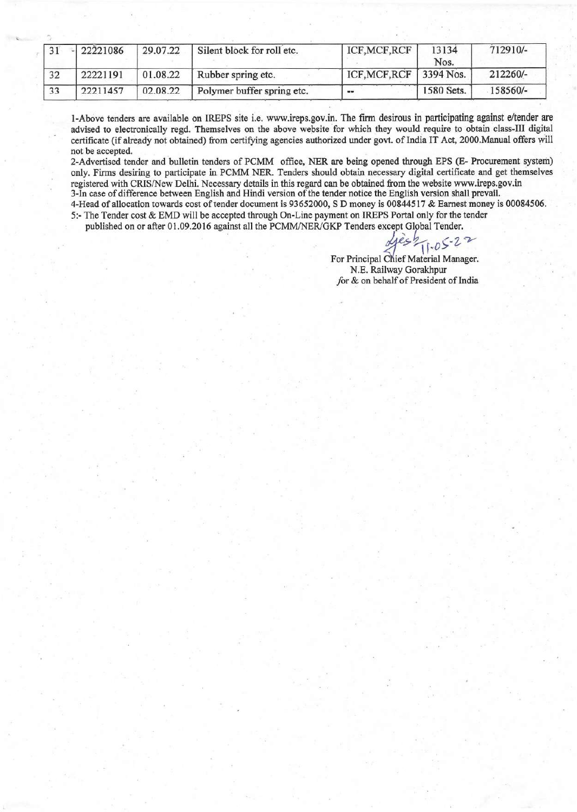|    | 22221086 | 29.07.22 | Silent block for roll etc. | ICF, MCF, RCF                   | 13134<br>Nos. | 712910/- |
|----|----------|----------|----------------------------|---------------------------------|---------------|----------|
| 32 | 22221191 | 01.08.22 | Rubber spring etc.         | ICF, MCF, RCF $\vert$ 3394 Nos. |               | 212260/- |
| 33 | 22211457 | 02.08.22 | Polymer buffer spring etc. | $-$                             | 1580 Sets.    | 158560/- |

1-Above tenders are available on IREPS site i.e. [www.ireps.gov.in](http://www.ireps.gov.in). The firm desirous in participating against e/tender are advised to electronically regd. Themselves on the above website for which they would require to obtain class-III digital certificate (if already not obtained) from certifying agencies authorized under govt. of India IT Act, 2000.Manual offers will not be accepted.

2-Advertised tender and bulletin tenders of PCMM office, NER are being opened through EPS (E- Procurement system) only. Firms desiring to participate in PCMM NER. Tenders should obtain necessary digital certificate and get themselves registered with CRIS/New Delhi. Necessary details in this regard can be obtained from the website [www.ireps.gov.in](http://www.ireps.gov.in) 3-In case of difference between English and Hindi version of the tender notice the English version shall prevail. 4-Head of allocation towards cost oftender document is 93652000, S D money is 00844517 & Earnest money is 00084506.

5:- The Tender cost & EMD will be accepted through On-Line payment on IREPS Portal only for the tender published on or after 01.09.2016 against all the PCMM/NER/GKP Tenders except Global Tender.

 $1.05 - 22$ 

For Principal Chief Material Manager. N.E. Railway Gorakhpur for & on behalf of President of India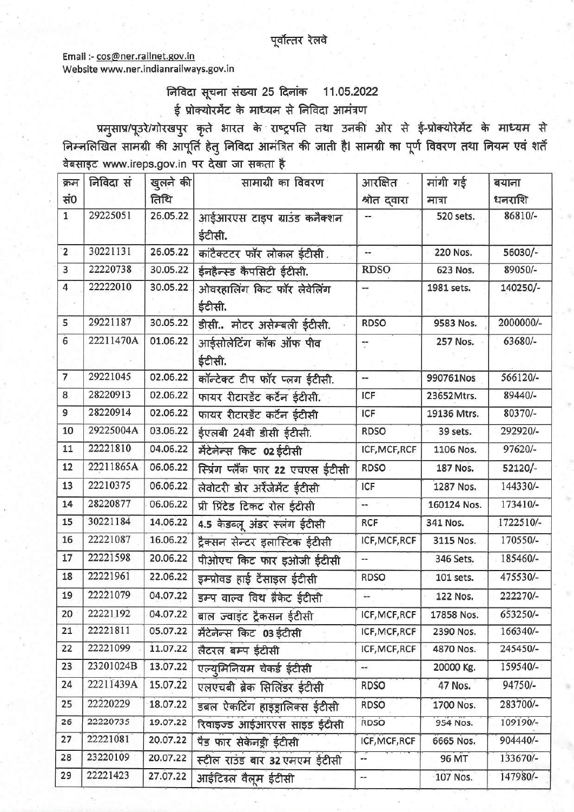Email :- cos@ner.railnet.gov.in Website www.ner.indianrailways.gov.in

## निविदा सूचना संख्या 25 दिनांक 11.05.2022 ई प्रोक्योरमेंट के माध्यम से निविदा आमंत्रण

प्रमुसाप्र/पूउरे/गोरखपुर कृते भारत के राष्ट्रपति तथा उनकी ओर से ई-प्रोक्योरेमेंट के माध्यम से निम्नलिखित सामग्री की आपूर्ति हेतु निविदा आमंत्रित की जाती है। सामग्री का पूर्ण विवरण तथा नियम एवं शर्ते वेबसाइट www.ireps.gov.in पर देखा जा सकता है

| क्रम           | निविदा सं | खुलने की | सामाग्री का विवरण                    | आरक्षित -     | मांगी गई    | बयाना     |
|----------------|-----------|----------|--------------------------------------|---------------|-------------|-----------|
| सं0            |           | तिथि     |                                      | श्रोत दवारा   | मात्रा      | धनराशि    |
| $\mathbf{1}$   | 29225051  | 26.05.22 | आईआरएस टाइप ग्राउंड कनैक्शन          |               | 520 sets.   | 86810/-   |
|                |           |          | ईटीसी.                               |               |             |           |
| $\overline{2}$ | 30221131  | 26.05.22 | कांटैक्टटर फॉर लोकल ईटीसी.           | $-$           | 220 Nos.    | 56030/-   |
| 3              | 22220738  | 30.05.22 | ईनहैन्स्ड कैपसिटी ईटीसी.             | <b>RDSO</b>   | 623 Nos.    | 89050/-   |
| $\overline{4}$ | 22222010  | 30.05.22 | ओवरहालिंग किट फॉर लेवेलिंग<br>ईटीसी. | a.            | 1981 sets.  | 140250/-  |
| 5              | 29221187  | 30.05.22 | डीसी मोटर असेम्बली ईटीसी.            | <b>RDSO</b>   | 9583 Nos.   | 2000000/- |
| $\ddot{6}$     | 22211470A | 01.06.22 | आईसोलेटिंग कॉक ऑफ पीव<br>ईटीसी.      | Ţ             | 257 Nos.    | 63680/-   |
| $\overline{7}$ | 29221045  | 02.06.22 | कॉन्टेक्ट टीप फॉर प्लग ईटीसी.        | --            | 990761Nos   | 566120/-  |
| 8              | 28220913  | 02.06.22 | फायर रीटारडेंट कर्टन ईटीसी.          | ICF           | 23652Mtrs.  | 89440/-   |
| 9              | 28220914  | 02.06.22 | फायर रीटारडेंट कर्टेन ईटीसी          | ICF           | 19136 Mtrs. | 80370/-   |
| 10             | 29225004A | 03.06.22 | ईएलबी 24वी डीसी ईटीसी.               | <b>RDSO</b>   | 39 sets.    | 292920/-  |
| 11             | 22221810  | 04.06.22 | मेंटेनेन्स किट 02 ईटीसी              | ICF, MCF, RCF | 1106 Nos.   | 97620/-   |
| 12             | 22211865A | 06.06.22 | स्प्रिंग प्लैंक फार 22 एचएस ईटीसी    | <b>RDSO</b>   | 187 Nos.    | $52120/-$ |
| 13             | 22210375  | 06.06.22 | लेवोटरी डोर अर्रैजेमेंट ईटीसी        | ICF           | 1287 Nos.   | 144330/-  |
| 14             | 28220877  | 06.06.22 | प्री प्रिंटेड टिकट रोल ईटीसी         | ш.            | 160124 Nos. | 173410/-  |
| 15             | 30221184  | 14.06.22 | 4.5 केडब्लू अंडर स्लंग ईटीसी         | <b>RCF</b>    | 341 Nos.    | 1722510/- |
| 16             | 22221087  | 16.06.22 | ट्रैक्सन सेन्टर इलास्टिक ईटीसी       | ICF, MCF, RCF | 3115 Nos.   | 170550/-  |
| 17             | 22221598  | 20.06.22 | पीओएच किट फार इओजी ईटीसी             | --            | 346 Sets.   | 185460/-  |
| 18             | 22221961  | 22.06.22 | इम्प्रोवड हाई टैसाइल ईटीसी           | <b>RDSO</b>   | 101 sets.   | 475530/-  |
| 19             | 22221079  | 04.07.22 | इम्प वाल्व विथ ब्रैकेट ईटीसी         | u.            | 122 Nos.    | 222270/-  |
| 20             | 22221192  | 04.07.22 | बाल ज्वाइंट ट्रैकसन ईटीसी            | ICF, MCF, RCF | 17858 Nos.  | 653250/-  |
| 21             | 22221811  | 05.07.22 | मेंटेनेन्स किट 03 ईटीसी              | ICF, MCF, RCF | 2390 Nos.   | 166340/-  |
| 22             | 22221099  | 11.07.22 | लैटरल बम्प ईटीसी                     | ICF, MCF, RCF | 4870 Nos.   | 245450/-  |
| 23             | 23201024B | 13.07.22 | एल्य्मिनियम चेकर्ड ईटीसी             | --            | 20000 Kg.   | 159540/-  |
| 24             | 22211439A | 15.07.22 | एलएचबी ब्रेक सिलिंडर ईटीसी           | <b>RDSO</b>   | 47 Nos.     | 94750/-   |
| 25             | 22220229  | 18.07.22 | डबल ऐकटिंग हाइड्रालिक्स ईटीसी        | <b>RDSO</b>   | 1700 Nos.   | 283700/-  |
| 26             | 22220735  | 19.07.22 | रिवाइज्ड आईआरएस साइड ईटीसी           | RDSO          | 954 Nos.    | 109190/-  |
| 27             | 22221081  | 20.07.22 | पैड फार सेकेनड्री ईटीसी              | ICF, MCF, RCF | 6665 Nos.   | 904440/-  |
| 28             | 23220109  | 20.07.22 | स्टील राउंड बार 32 एमएम ईटीसी        | --            | 96 MT       | 133670/-  |
| 29             | 22221423  | 27.07.22 | आईंटिग्र्ल वैलूम ईटीसी               | --            | 107 Nos.    | 147980/-  |